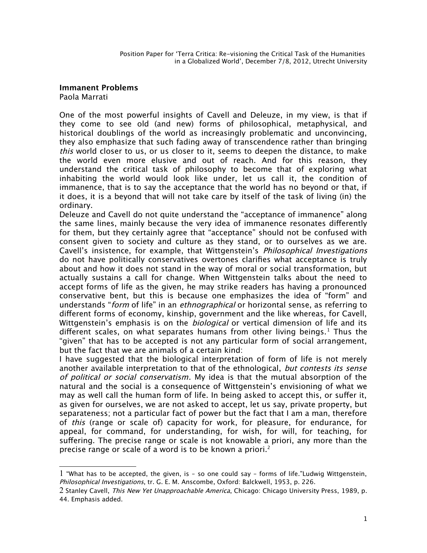## **Immanent Problems**

Paola Marrati

One of the most powerful insights of Cavell and Deleuze, in my view, is that if they come to see old (and new) forms of philosophical, metaphysical, and historical doublings of the world as increasingly problematic and unconvincing, they also emphasize that such fading away of transcendence rather than bringing this world closer to us, or us closer to it, seems to deepen the distance, to make the world even more elusive and out of reach. And for this reason, they understand the critical task of philosophy to become that of exploring what inhabiting the world would look like under, let us call it, the condition of immanence, that is to say the acceptance that the world has no beyond or that, if it does, it is a beyond that will not take care by itself of the task of living (in) the ordinary.

Deleuze and Cavell do not quite understand the "acceptance of immanence" along the same lines, mainly because the very idea of immanence resonates diferently for them, but they certainly agree that "acceptance" should not be confused with consent given to society and culture as they stand, or to ourselves as we are. Cavell's insistence, for example, that Wittgenstein's Philosophical Investigations do not have politically conservatives overtones clarifes what acceptance is truly about and how it does not stand in the way of moral or social transformation, but actually sustains a call for change. When Wittgenstein talks about the need to accept forms of life as the given, he may strike readers has having a pronounced conservative bent, but this is because one emphasizes the idea of "form" and understands "form of life" in an *ethnographical* or horizontal sense, as referring to diferent forms of economy, kinship, government and the like whereas, for Cavell, Wittgenstein's emphasis is on the *biological* or vertical dimension of life and its different scales, on what separates humans from other living beings. $^1$  $^1$  Thus the "given" that has to be accepted is not any particular form of social arrangement, but the fact that we are animals of a certain kind:

I have suggested that the biological interpretation of form of life is not merely another available interpretation to that of the ethnological, but contests its sense of political or social conservatism. My idea is that the mutual absorption of the natural and the social is a consequence of Wittgenstein's envisioning of what we may as well call the human form of life. In being asked to accept this, or sufer it, as given for ourselves, we are not asked to accept, let us say, private property, but separateness; not a particular fact of power but the fact that I am a man, therefore of this (range or scale of) capacity for work, for pleasure, for endurance, for appeal, for command, for understanding, for wish, for will, for teaching, for sufering. The precise range or scale is not knowable a priori, any more than the precise range or scale of a word is to be known a priori.<sup>[2](#page-0-1)</sup>

<span id="page-0-0"></span><sup>1</sup> "What has to be accepted, the given, is – so one could say – forms of life."Ludwig Wittgenstein, Philosophical Investigations, tr. G. E. M. Anscombe, Oxford: Balckwell, 1953, p. 226.

<span id="page-0-1"></span><sup>2</sup> Stanley Cavell, This New Yet Unapproachable America, Chicago: Chicago University Press, 1989, p. 44. Emphasis added.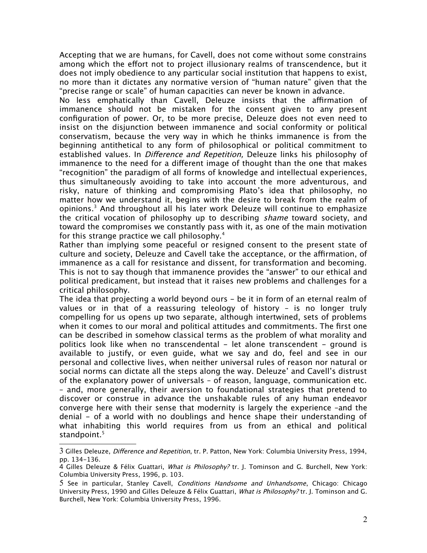Accepting that we are humans, for Cavell, does not come without some constrains among which the effort not to project illusionary realms of transcendence, but it does not imply obedience to any particular social institution that happens to exist, no more than it dictates any normative version of "human nature" given that the "precise range or scale" of human capacities can never be known in advance.

No less emphatically than Cavell, Deleuze insists that the affirmation of immanence should not be mistaken for the consent given to any present confguration of power. Or, to be more precise, Deleuze does not even need to insist on the disjunction between immanence and social conformity or political conservatism, because the very way in which he thinks immanence is from the beginning antithetical to any form of philosophical or political commitment to established values. In Difference and Repetition, Deleuze links his philosophy of immanence to the need for a diferent image of thought than the one that makes "recognition" the paradigm of all forms of knowledge and intellectual experiences, thus simultaneously avoiding to take into account the more adventurous, and risky, nature of thinking and compromising Plato's idea that philosophy, no matter how we understand it, begins with the desire to break from the realm of opinions.<sup>[3](#page-1-0)</sup> And throughout all his later work Deleuze will continue to emphasize the critical vocation of philosophy up to describing shame toward society, and toward the compromises we constantly pass with it, as one of the main motivation for this strange practice we call philosophy.[4](#page-1-1)

Rather than implying some peaceful or resigned consent to the present state of culture and society, Deleuze and Cavell take the acceptance, or the afrmation, of immanence as a call for resistance and dissent, for transformation and becoming. This is not to say though that immanence provides the "answer" to our ethical and political predicament, but instead that it raises new problems and challenges for a critical philosophy.

The idea that projecting a world beyond ours - be it in form of an eternal realm of values or in that of a reassuring teleology of history – is no longer truly compelling for us opens up two separate, although intertwined, sets of problems when it comes to our moral and political attitudes and commitments. The first one can be described in somehow classical terms as the problem of what morality and politics look like when no transcendental - let alone transcendent - ground is available to justify, or even guide, what we say and do, feel and see in our personal and collective lives, when neither universal rules of reason nor natural or social norms can dictate all the steps along the way. Deleuze' and Cavell's distrust of the explanatory power of universals – of reason, language, communication etc. – and, more generally, their aversion to foundational strategies that pretend to discover or construe in advance the unshakable rules of any human endeavor converge here with their sense that modernity is largely the experience –and the denial - of a world with no doublings and hence shape their understanding of what inhabiting this world requires from us from an ethical and political standpoint.<sup>[5](#page-1-2)</sup>

<span id="page-1-0"></span><sup>3</sup> Gilles Deleuze, Diference and Repetition, tr. P. Patton, New York: Columbia University Press, 1994, pp. 134-136.

<span id="page-1-1"></span><sup>4</sup> Gilles Deleuze & Félix Guattari, What is Philosophy? tr. J. Tominson and G. Burchell, New York: Columbia University Press, 1996, p. 103.

<span id="page-1-2"></span><sup>5</sup> See in particular, Stanley Cavell, Conditions Handsome and Unhandsome, Chicago: Chicago University Press, 1990 and Gilles Deleuze & Félix Guattari, What is Philosophy? tr. J. Tominson and G. Burchell, New York: Columbia University Press, 1996.